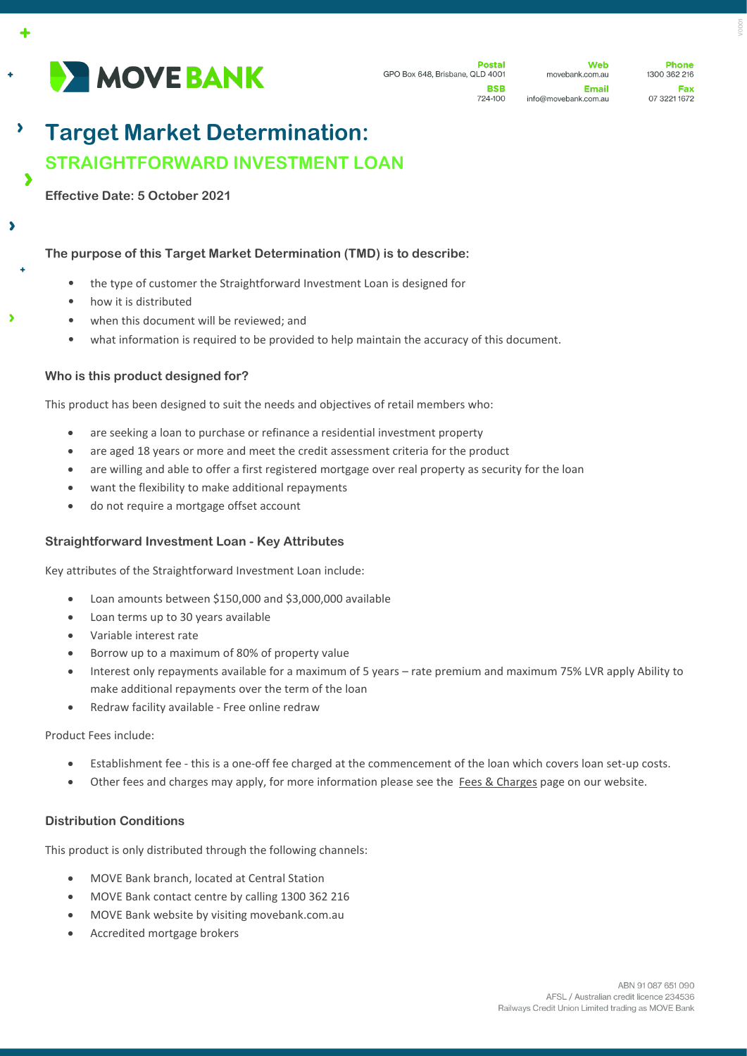

**Postal** GPO Box 648, Brisbane, QLD 4001 **RSR** 

724-100

Web movebank.com.au Email info@movebank.com.au

**Phone** 1300 362 216 Fax 07 3221 1672

# **Target Market Determination: STRAIGHTFORWARD INVESTMENT LOAN**  $\overline{\phantom{a}}$

**Effective Date: 5 October 2021**

 $\overline{\phantom{a}}$ 

 $\overline{\phantom{a}}$ 

3

## **The purpose of this Target Market Determination (TMD) is to describe:**

- the type of customer the Straightforward Investment Loan is designed for
- how it is distributed
- when this document will be reviewed; and
- what information is required to be provided to help maintain the accuracy of this document.

### **Who is this product designed for?**

This product has been designed to suit the needs and objectives of retail members who:

- are seeking a loan to purchase or refinance a residential investment property
- are aged 18 years or more and meet the credit assessment criteria for the product
- are willing and able to offer a first registered mortgage over real property as security for the loan
- want the flexibility to make additional repayments
- do not require a mortgage offset account

### **Straightforward Investment Loan - Key Attributes**

Key attributes of the Straightforward Investment Loan include:

- Loan amounts between \$150,000 and \$3,000,000 available
- Loan terms up to 30 years available
- Variable interest rate
- Borrow up to a maximum of 80% of property value
- Interest only repayments available for a maximum of 5 years rate premium and maximum 75% LVR apply Ability to make additional repayments over the term of the loan
- Redraw facility available Free online redraw

Product Fees include:

- Establishment fee this is a one-off fee charged at the commencement of the loan which covers loan set-up costs.
- Other fees and charges may apply, for more information please see the Fees [& Charges](https://movebank.com.au/quick-links/fees-charges/) page on our website.

### **Distribution Conditions**

This product is only distributed through the following channels:

- MOVE Bank branch, located at Central Station
- MOVE Bank contact centre by calling 1300 362 216
- MOVE Bank website by visiting movebank.com.au
- Accredited mortgage brokers